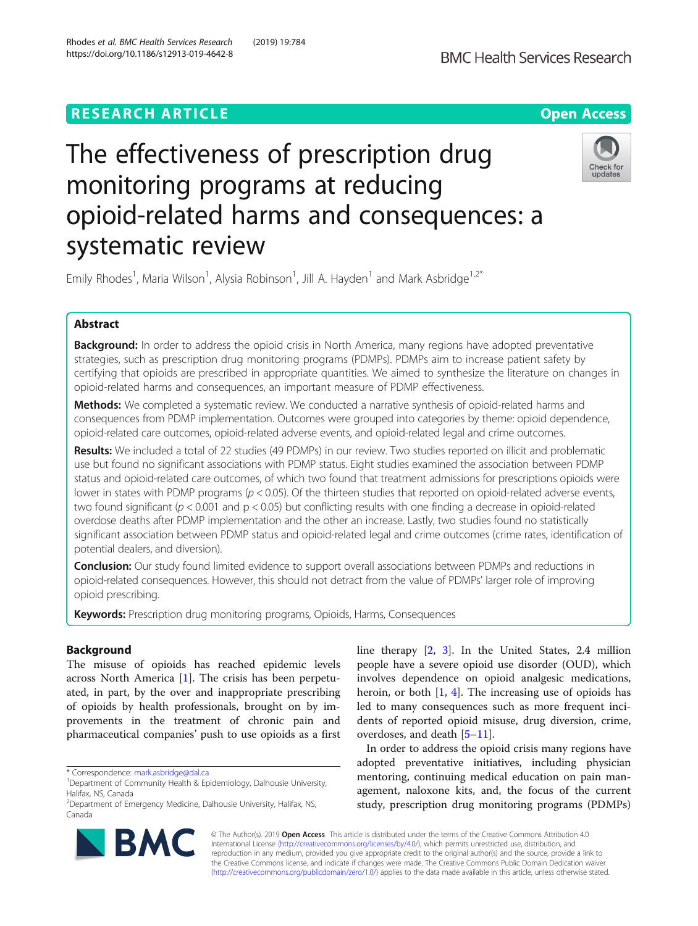## **RESEARCH ARTICLE Example 2014 12:30 The Contract of Contract ACCESS**



# The effectiveness of prescription drug monitoring programs at reducing opioid-related harms and consequences: a systematic review



Emily Rhodes<sup>1</sup>, Maria Wilson<sup>1</sup>, Alysia Robinson<sup>1</sup>, Jill A. Hayden<sup>1</sup> and Mark Asbridge<sup>1,2\*</sup>

## Abstract

Background: In order to address the opioid crisis in North America, many regions have adopted preventative strategies, such as prescription drug monitoring programs (PDMPs). PDMPs aim to increase patient safety by certifying that opioids are prescribed in appropriate quantities. We aimed to synthesize the literature on changes in opioid-related harms and consequences, an important measure of PDMP effectiveness.

Methods: We completed a systematic review. We conducted a narrative synthesis of opioid-related harms and consequences from PDMP implementation. Outcomes were grouped into categories by theme: opioid dependence, opioid-related care outcomes, opioid-related adverse events, and opioid-related legal and crime outcomes.

Results: We included a total of 22 studies (49 PDMPs) in our review. Two studies reported on illicit and problematic use but found no significant associations with PDMP status. Eight studies examined the association between PDMP status and opioid-related care outcomes, of which two found that treatment admissions for prescriptions opioids were lower in states with PDMP programs ( $p < 0.05$ ). Of the thirteen studies that reported on opioid-related adverse events, two found significant ( $p < 0.001$  and  $p < 0.05$ ) but conflicting results with one finding a decrease in opioid-related overdose deaths after PDMP implementation and the other an increase. Lastly, two studies found no statistically significant association between PDMP status and opioid-related legal and crime outcomes (crime rates, identification of potential dealers, and diversion).

Conclusion: Our study found limited evidence to support overall associations between PDMPs and reductions in opioid-related consequences. However, this should not detract from the value of PDMPs' larger role of improving opioid prescribing.

Keywords: Prescription drug monitoring programs, Opioids, Harms, Consequences

## Background

The misuse of opioids has reached epidemic levels across North America [\[1\]](#page-8-0). The crisis has been perpetuated, in part, by the over and inappropriate prescribing of opioids by health professionals, brought on by improvements in the treatment of chronic pain and pharmaceutical companies' push to use opioids as a first

<sup>&</sup>lt;sup>2</sup>Department of Emergency Medicine, Dalhousie University, Halifax, NS, Canada



line therapy [[2,](#page-8-0) [3\]](#page-8-0). In the United States, 2.4 million people have a severe opioid use disorder (OUD), which involves dependence on opioid analgesic medications, heroin, or both  $[1, 4]$  $[1, 4]$  $[1, 4]$  $[1, 4]$  $[1, 4]$ . The increasing use of opioids has led to many consequences such as more frequent incidents of reported opioid misuse, drug diversion, crime, overdoses, and death [\[5](#page-8-0)–[11](#page-9-0)].

In order to address the opioid crisis many regions have adopted preventative initiatives, including physician mentoring, continuing medical education on pain management, naloxone kits, and, the focus of the current study, prescription drug monitoring programs (PDMPs)

© The Author(s). 2019 Open Access This article is distributed under the terms of the Creative Commons Attribution 4.0 International License [\(http://creativecommons.org/licenses/by/4.0/](http://creativecommons.org/licenses/by/4.0/)), which permits unrestricted use, distribution, and reproduction in any medium, provided you give appropriate credit to the original author(s) and the source, provide a link to the Creative Commons license, and indicate if changes were made. The Creative Commons Public Domain Dedication waiver [\(http://creativecommons.org/publicdomain/zero/1.0/](http://creativecommons.org/publicdomain/zero/1.0/)) applies to the data made available in this article, unless otherwise stated.

<sup>\*</sup> Correspondence: [mark.asbridge@dal.ca](mailto:mark.asbridge@dal.ca) <sup>1</sup>

<sup>&</sup>lt;sup>1</sup>Department of Community Health & Epidemiology, Dalhousie University, Halifax, NS, Canada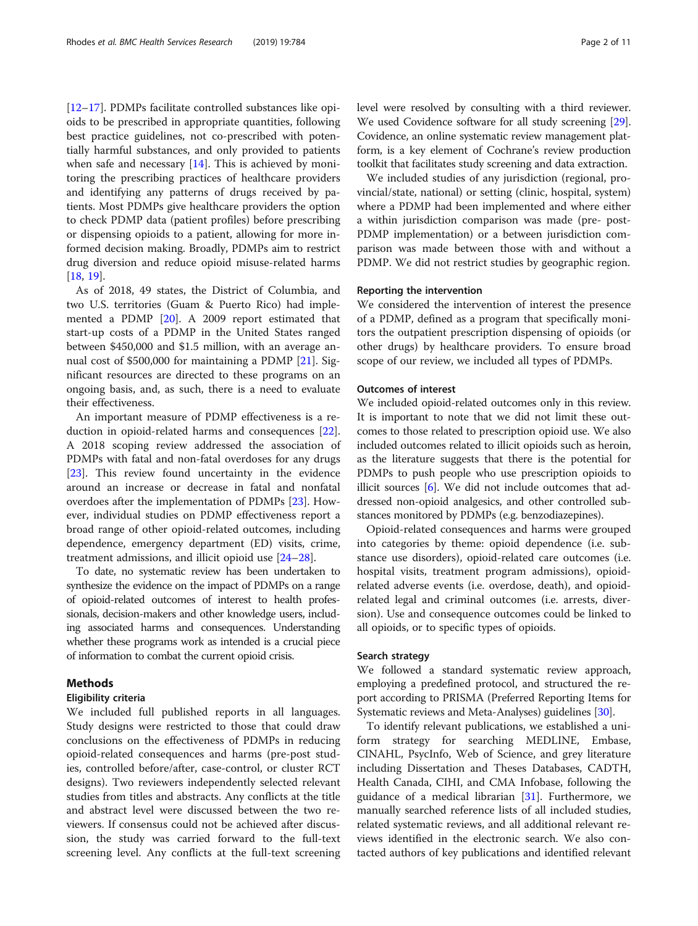[[12](#page-9-0)–[17](#page-9-0)]. PDMPs facilitate controlled substances like opioids to be prescribed in appropriate quantities, following best practice guidelines, not co-prescribed with potentially harmful substances, and only provided to patients when safe and necessary [\[14](#page-9-0)]. This is achieved by monitoring the prescribing practices of healthcare providers and identifying any patterns of drugs received by patients. Most PDMPs give healthcare providers the option to check PDMP data (patient profiles) before prescribing or dispensing opioids to a patient, allowing for more informed decision making. Broadly, PDMPs aim to restrict drug diversion and reduce opioid misuse-related harms [[18,](#page-9-0) [19\]](#page-9-0).

As of 2018, 49 states, the District of Columbia, and two U.S. territories (Guam & Puerto Rico) had implemented a PDMP [[20](#page-9-0)]. A 2009 report estimated that start-up costs of a PDMP in the United States ranged between \$450,000 and \$1.5 million, with an average annual cost of \$500,000 for maintaining a PDMP [\[21](#page-9-0)]. Significant resources are directed to these programs on an ongoing basis, and, as such, there is a need to evaluate their effectiveness.

An important measure of PDMP effectiveness is a reduction in opioid-related harms and consequences [\[22](#page-9-0)]. A 2018 scoping review addressed the association of PDMPs with fatal and non-fatal overdoses for any drugs [[23\]](#page-9-0). This review found uncertainty in the evidence around an increase or decrease in fatal and nonfatal overdoes after the implementation of PDMPs [\[23](#page-9-0)]. However, individual studies on PDMP effectiveness report a broad range of other opioid-related outcomes, including dependence, emergency department (ED) visits, crime, treatment admissions, and illicit opioid use [\[24](#page-9-0)–[28\]](#page-9-0).

To date, no systematic review has been undertaken to synthesize the evidence on the impact of PDMPs on a range of opioid-related outcomes of interest to health professionals, decision-makers and other knowledge users, including associated harms and consequences. Understanding whether these programs work as intended is a crucial piece of information to combat the current opioid crisis.

## Methods

#### Eligibility criteria

We included full published reports in all languages. Study designs were restricted to those that could draw conclusions on the effectiveness of PDMPs in reducing opioid-related consequences and harms (pre-post studies, controlled before/after, case-control, or cluster RCT designs). Two reviewers independently selected relevant studies from titles and abstracts. Any conflicts at the title and abstract level were discussed between the two reviewers. If consensus could not be achieved after discussion, the study was carried forward to the full-text screening level. Any conflicts at the full-text screening level were resolved by consulting with a third reviewer. We used Covidence software for all study screening [[29](#page-9-0)]. Covidence, an online systematic review management platform, is a key element of Cochrane's review production toolkit that facilitates study screening and data extraction.

We included studies of any jurisdiction (regional, provincial/state, national) or setting (clinic, hospital, system) where a PDMP had been implemented and where either a within jurisdiction comparison was made (pre- post-PDMP implementation) or a between jurisdiction comparison was made between those with and without a PDMP. We did not restrict studies by geographic region.

### Reporting the intervention

We considered the intervention of interest the presence of a PDMP, defined as a program that specifically monitors the outpatient prescription dispensing of opioids (or other drugs) by healthcare providers. To ensure broad scope of our review, we included all types of PDMPs.

#### Outcomes of interest

We included opioid-related outcomes only in this review. It is important to note that we did not limit these outcomes to those related to prescription opioid use. We also included outcomes related to illicit opioids such as heroin, as the literature suggests that there is the potential for PDMPs to push people who use prescription opioids to illicit sources [\[6\]](#page-8-0). We did not include outcomes that addressed non-opioid analgesics, and other controlled substances monitored by PDMPs (e.g. benzodiazepines).

Opioid-related consequences and harms were grouped into categories by theme: opioid dependence (i.e. substance use disorders), opioid-related care outcomes (i.e. hospital visits, treatment program admissions), opioidrelated adverse events (i.e. overdose, death), and opioidrelated legal and criminal outcomes (i.e. arrests, diversion). Use and consequence outcomes could be linked to all opioids, or to specific types of opioids.

#### Search strategy

We followed a standard systematic review approach, employing a predefined protocol, and structured the report according to PRISMA (Preferred Reporting Items for Systematic reviews and Meta-Analyses) guidelines [\[30\]](#page-9-0).

To identify relevant publications, we established a uniform strategy for searching MEDLINE, Embase, CINAHL, PsycInfo, Web of Science, and grey literature including Dissertation and Theses Databases, CADTH, Health Canada, CIHI, and CMA Infobase, following the guidance of a medical librarian [[31\]](#page-9-0). Furthermore, we manually searched reference lists of all included studies, related systematic reviews, and all additional relevant reviews identified in the electronic search. We also contacted authors of key publications and identified relevant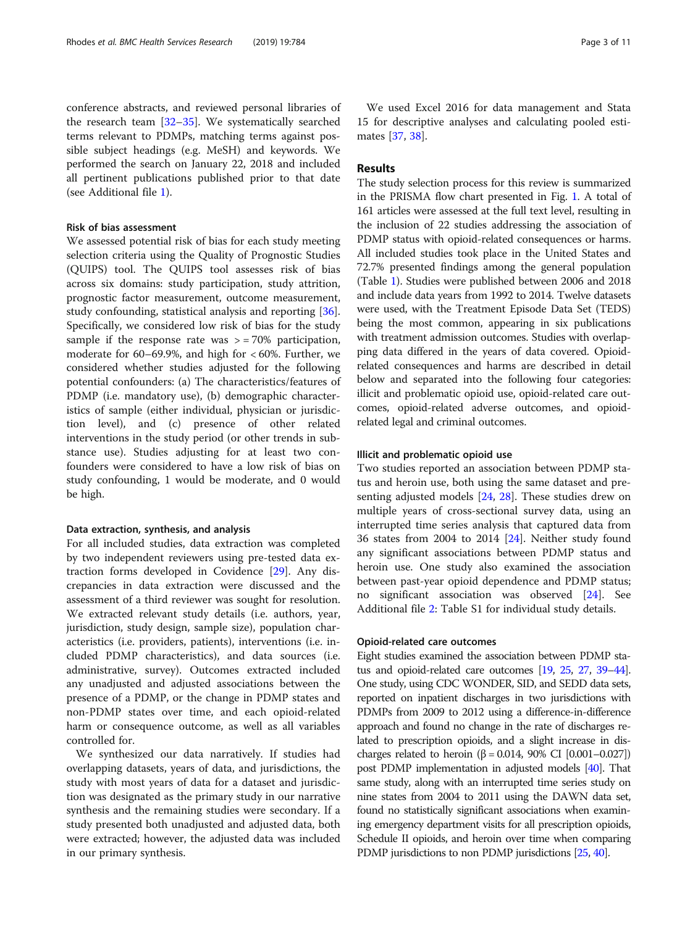conference abstracts, and reviewed personal libraries of the research team [\[32](#page-9-0)–[35\]](#page-9-0). We systematically searched terms relevant to PDMPs, matching terms against possible subject headings (e.g. MeSH) and keywords. We performed the search on January 22, 2018 and included all pertinent publications published prior to that date (see Additional file [1\)](#page-8-0).

#### Risk of bias assessment

We assessed potential risk of bias for each study meeting selection criteria using the Quality of Prognostic Studies (QUIPS) tool. The QUIPS tool assesses risk of bias across six domains: study participation, study attrition, prognostic factor measurement, outcome measurement, study confounding, statistical analysis and reporting [\[36](#page-9-0)]. Specifically, we considered low risk of bias for the study sample if the response rate was  $> = 70\%$  participation, moderate for 60–69.9%, and high for < 60%. Further, we considered whether studies adjusted for the following potential confounders: (a) The characteristics/features of PDMP (i.e. mandatory use), (b) demographic characteristics of sample (either individual, physician or jurisdiction level), and (c) presence of other related interventions in the study period (or other trends in substance use). Studies adjusting for at least two confounders were considered to have a low risk of bias on study confounding, 1 would be moderate, and 0 would be high.

#### Data extraction, synthesis, and analysis

For all included studies, data extraction was completed by two independent reviewers using pre-tested data extraction forms developed in Covidence [\[29\]](#page-9-0). Any discrepancies in data extraction were discussed and the assessment of a third reviewer was sought for resolution. We extracted relevant study details (i.e. authors, year, jurisdiction, study design, sample size), population characteristics (i.e. providers, patients), interventions (i.e. included PDMP characteristics), and data sources (i.e. administrative, survey). Outcomes extracted included any unadjusted and adjusted associations between the presence of a PDMP, or the change in PDMP states and non-PDMP states over time, and each opioid-related harm or consequence outcome, as well as all variables controlled for.

We synthesized our data narratively. If studies had overlapping datasets, years of data, and jurisdictions, the study with most years of data for a dataset and jurisdiction was designated as the primary study in our narrative synthesis and the remaining studies were secondary. If a study presented both unadjusted and adjusted data, both were extracted; however, the adjusted data was included in our primary synthesis.

We used Excel 2016 for data management and Stata 15 for descriptive analyses and calculating pooled estimates [[37,](#page-9-0) [38](#page-9-0)].

#### Results

The study selection process for this review is summarized in the PRISMA flow chart presented in Fig. [1.](#page-3-0) A total of 161 articles were assessed at the full text level, resulting in the inclusion of 22 studies addressing the association of PDMP status with opioid-related consequences or harms. All included studies took place in the United States and 72.7% presented findings among the general population (Table [1](#page-4-0)). Studies were published between 2006 and 2018 and include data years from 1992 to 2014. Twelve datasets were used, with the Treatment Episode Data Set (TEDS) being the most common, appearing in six publications with treatment admission outcomes. Studies with overlapping data differed in the years of data covered. Opioidrelated consequences and harms are described in detail below and separated into the following four categories: illicit and problematic opioid use, opioid-related care outcomes, opioid-related adverse outcomes, and opioidrelated legal and criminal outcomes.

#### Illicit and problematic opioid use

Two studies reported an association between PDMP status and heroin use, both using the same dataset and presenting adjusted models [[24,](#page-9-0) [28](#page-9-0)]. These studies drew on multiple years of cross-sectional survey data, using an interrupted time series analysis that captured data from 36 states from 2004 to 2014 [[24\]](#page-9-0). Neither study found any significant associations between PDMP status and heroin use. One study also examined the association between past-year opioid dependence and PDMP status; no significant association was observed [[24\]](#page-9-0). See Additional file [2](#page-8-0): Table S1 for individual study details.

#### Opioid-related care outcomes

Eight studies examined the association between PDMP status and opioid-related care outcomes [\[19,](#page-9-0) [25](#page-9-0), [27,](#page-9-0) [39](#page-9-0)–[44](#page-9-0)]. One study, using CDC WONDER, SID, and SEDD data sets, reported on inpatient discharges in two jurisdictions with PDMPs from 2009 to 2012 using a difference-in-difference approach and found no change in the rate of discharges related to prescription opioids, and a slight increase in discharges related to heroin (β = 0.014, 90% CI [0.001–0.027]) post PDMP implementation in adjusted models [\[40](#page-9-0)]. That same study, along with an interrupted time series study on nine states from 2004 to 2011 using the DAWN data set, found no statistically significant associations when examining emergency department visits for all prescription opioids, Schedule II opioids, and heroin over time when comparing PDMP jurisdictions to non PDMP jurisdictions [[25,](#page-9-0) [40\]](#page-9-0).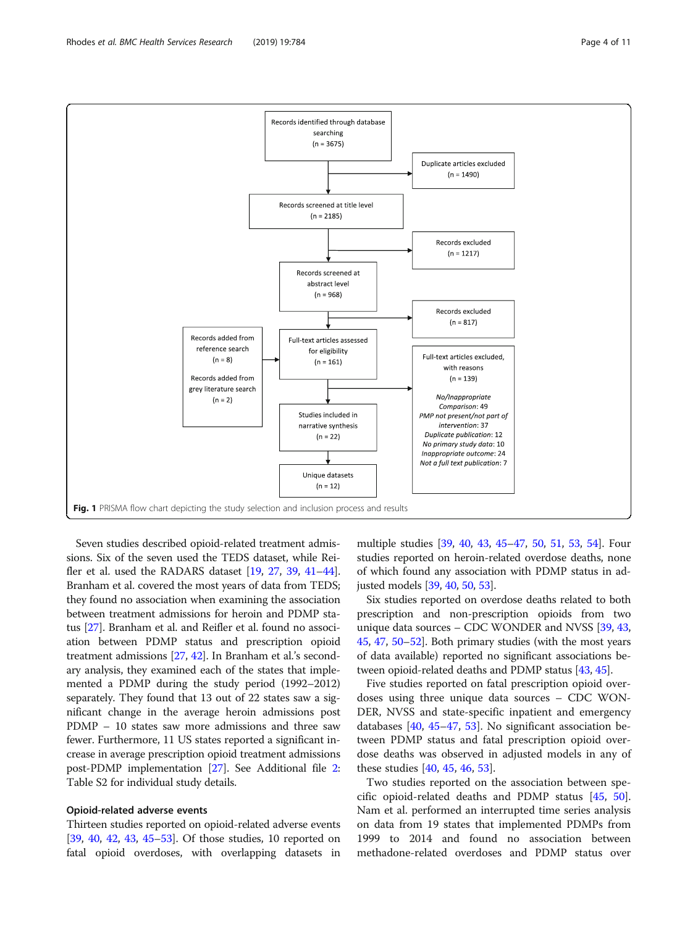Seven studies described opioid-related treatment admissions. Six of the seven used the TEDS dataset, while Reifler et al. used the RADARS dataset  $[19, 27, 39, 41-44]$  $[19, 27, 39, 41-44]$  $[19, 27, 39, 41-44]$  $[19, 27, 39, 41-44]$  $[19, 27, 39, 41-44]$  $[19, 27, 39, 41-44]$  $[19, 27, 39, 41-44]$  $[19, 27, 39, 41-44]$  $[19, 27, 39, 41-44]$  $[19, 27, 39, 41-44]$ . Branham et al. covered the most years of data from TEDS; they found no association when examining the association between treatment admissions for heroin and PDMP status [[27](#page-9-0)]. Branham et al. and Reifler et al. found no association between PDMP status and prescription opioid treatment admissions [[27](#page-9-0), [42\]](#page-9-0). In Branham et al.'s secondary analysis, they examined each of the states that implemented a PDMP during the study period (1992–2012) separately. They found that 13 out of 22 states saw a significant change in the average heroin admissions post PDMP – 10 states saw more admissions and three saw fewer. Furthermore, 11 US states reported a significant increase in average prescription opioid treatment admissions post-PDMP implementation [[27](#page-9-0)]. See Additional file [2](#page-8-0): Table S2 for individual study details.

#### Opioid-related adverse events

Thirteen studies reported on opioid-related adverse events [[39](#page-9-0), [40,](#page-9-0) [42](#page-9-0), [43,](#page-9-0) [45](#page-9-0)–[53\]](#page-9-0). Of those studies, 10 reported on fatal opioid overdoses, with overlapping datasets in

multiple studies [\[39](#page-9-0), [40,](#page-9-0) [43](#page-9-0), [45](#page-9-0)–[47](#page-9-0), [50,](#page-9-0) [51](#page-9-0), [53,](#page-9-0) [54\]](#page-9-0). Four studies reported on heroin-related overdose deaths, none of which found any association with PDMP status in adjusted models [[39](#page-9-0), [40,](#page-9-0) [50,](#page-9-0) [53](#page-9-0)].

Six studies reported on overdose deaths related to both prescription and non-prescription opioids from two unique data sources – CDC WONDER and NVSS [\[39,](#page-9-0) [43](#page-9-0), [45](#page-9-0), [47](#page-9-0), [50](#page-9-0)–[52\]](#page-9-0). Both primary studies (with the most years of data available) reported no significant associations between opioid-related deaths and PDMP status [[43,](#page-9-0) [45\]](#page-9-0).

Five studies reported on fatal prescription opioid overdoses using three unique data sources – CDC WON-DER, NVSS and state-specific inpatient and emergency databases [\[40,](#page-9-0) [45](#page-9-0)–[47](#page-9-0), [53\]](#page-9-0). No significant association between PDMP status and fatal prescription opioid overdose deaths was observed in adjusted models in any of these studies [\[40,](#page-9-0) [45,](#page-9-0) [46,](#page-9-0) [53\]](#page-9-0).

Two studies reported on the association between specific opioid-related deaths and PDMP status [\[45,](#page-9-0) [50](#page-9-0)]. Nam et al. performed an interrupted time series analysis on data from 19 states that implemented PDMPs from 1999 to 2014 and found no association between methadone-related overdoses and PDMP status over

<span id="page-3-0"></span>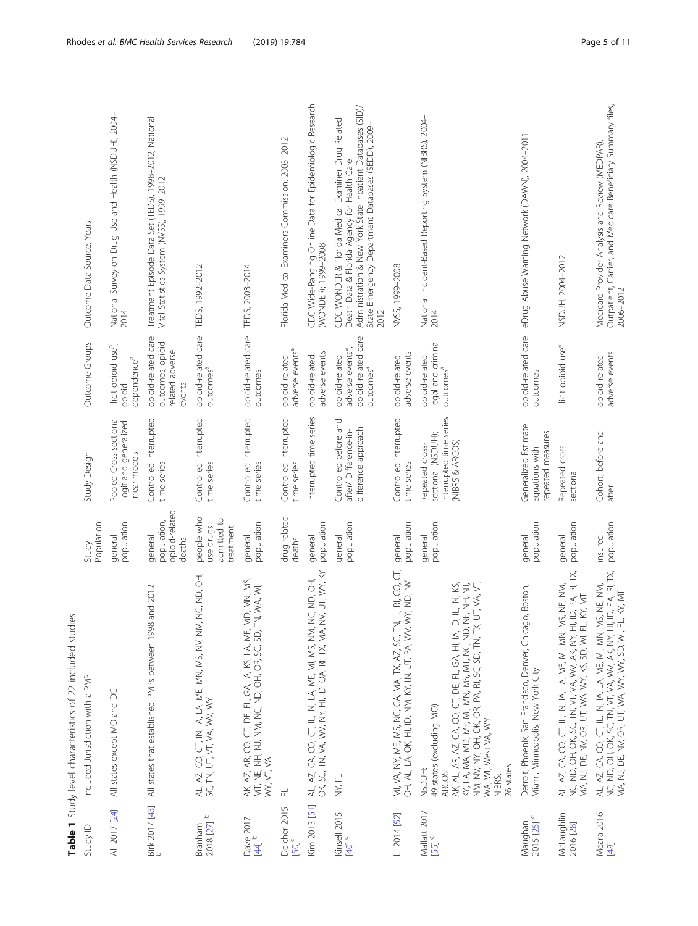<span id="page-4-0"></span>

| Study ID                                       | Included Jurisdiction with a PMP                                                                                                                                                                                                                            | Population<br>Study                                 | Study Design                                                                        | Outcome Groups                                                                                  | Outcome Data Source, Years                                                                                                                                                                                                    |
|------------------------------------------------|-------------------------------------------------------------------------------------------------------------------------------------------------------------------------------------------------------------------------------------------------------------|-----------------------------------------------------|-------------------------------------------------------------------------------------|-------------------------------------------------------------------------------------------------|-------------------------------------------------------------------------------------------------------------------------------------------------------------------------------------------------------------------------------|
| Ali 2017 [24]                                  | All states except MO and DC                                                                                                                                                                                                                                 | population<br>general                               | Pooled Cross-sectional<br>Logit and generalized<br>linear models                    | illicit opioid use <sup>a</sup> ,<br>dependence <sup>a</sup><br>opioid                          | National Survey on Drug Use and Health (NSDUH), 2004-<br>2014                                                                                                                                                                 |
| Birk 2017 [43]                                 | and 2012<br>All states that established PMPs between 1998                                                                                                                                                                                                   | opioid-related<br>population,<br>general<br>deaths  | Controlled interrupted<br>time series                                               | opioid-related care<br>outcomes, opioid-<br>related adverse<br>events                           | Treatment Episode Data Set (TEDS), 1998-2012; National<br>Vital Statistics System (NVSS), 1999-2012                                                                                                                           |
| $\mathrel{\mathsf{a}}$<br>2018 [27]<br>Branham | NC, ND, OH,<br>al, az, co, ct, in, ia, la, me, mn, ms, nv, nm,<br>sc, tn, ut, vt, va, wv, wy                                                                                                                                                                | people who<br>admitted to<br>use drugs<br>treatment | Controlled interrupted<br>time series                                               | opioid-related care<br>outcomes <sup>a</sup>                                                    | TEDS, 1992-2012                                                                                                                                                                                                               |
| Dave 2017<br>[44] <sup>b</sup>                 | AK, AZ, AR, CO, CT, DE, FL, GA, IA, KS, LA, ME, MD, MN, MS,<br>MT, NE, NH, NJ, NM, NC, ND, OH, OR, SC, SD, TN, WA, WI,<br>WY, VT, VA                                                                                                                        | population<br>general                               | Controlled interrupted<br>time series                                               | opioid-related care<br>outcomes                                                                 | TEDS, 2003-2014                                                                                                                                                                                                               |
| Delcher 2015<br>$50^{\circ}$                   | 군                                                                                                                                                                                                                                                           | drug-related<br>deaths                              | Controlled interrupted<br>time series                                               | adverse events <sup>a</sup><br>opioid-related                                                   | Florida Medical Examiners Commission, 2003-2012                                                                                                                                                                               |
| Kim 2013 [51]                                  | AL, AZ, CA, CO, CT, IL, IN, LA, ME, MI, MS, NM, NC, ND, OH,<br>OK, SC, TN, VA, WV, NY, HI, ID, OA, RI, TX, MA, NV, UT, WY, KY                                                                                                                               | population<br>general                               | Interrupted time series                                                             | adverse events<br>opioid-related                                                                | CDC Wide-Ranging Online Data for Epidemiologic Research<br>(WONDER); 1999-2008                                                                                                                                                |
| Kinsell 2015<br>$40 \frac{c}{c}$               | NY, FL                                                                                                                                                                                                                                                      | population<br>general                               | Controlled before and<br>difference approach<br>after/ Difference-in-               | opioid-related care<br>adverse events <sup>a</sup> ,<br>opioid-related<br>outcomes <sup>a</sup> | Administration & New York State Inpatient Databases (SID)/<br>CDC WONDER & Florida Medical Examiner Drug Related<br>State Emergency Department Databases (SEDD), 2009-<br>Death Data & Florida Agency for Health Care<br>2012 |
| Li 2014 [52]                                   | MI, VA, NY, ME, MS, NG, CA, MA, TX, AZ, SG, TN, IL, RI, CO, CT,<br>OH, AL, LA, OK, HI, ID, NM, KY, IN, UT, PA, WV, WY, ND, NV                                                                                                                               | population<br>general                               | Controlled interrupted<br>time series                                               | adverse events<br>opioid-related                                                                | NVSS, 1999-2008                                                                                                                                                                                                               |
| Mallatt 2017<br>$[55]$                         | UT, VA, VT,<br>AK, AL, AR, AZ, CA, CO, CT, DE, FL, GA, HI, IA, ID, IL, IN, KS,<br>49 states (excluding MO)<br>WA, WI, West VA, WY<br>26 states<br>NSDUH:<br>ARCOS:<br>NIBRS:                                                                                | population<br>general                               | interrupted time series<br>sectional (NSDUH);<br>(NIBRS & ARCOS)<br>Repeated cross- | legal and criminal<br>opioid-related<br>outcomes <sup>a</sup>                                   | National Incident-Based Reporting System (NIBRS), 2004-<br>2014                                                                                                                                                               |
| 2015 [25] c<br>Maughan                         | Detroit, Phoenix, San Francisco, Denver, Chicago, Boston,<br>Miami, Minneapolis, New York City                                                                                                                                                              | population<br>general                               | Generalized Estimate<br>repeated measures<br>Equations with                         | opioid-related care<br>outcomes                                                                 | eDrug Abuse Warning Network (DAWN), 2004-2011                                                                                                                                                                                 |
| McLaughlin<br>2016 [28]                        | AL, AZ, CA, CO, CT, IL, IN, IA, LA, ME, MI, MN, MS, NE, NM,<br>NC, ND, OH, OK, SC, TN, VT, VA, WV, AK, NY, HI, ID, PA, RI, TX,<br>NC, ND, OH, OK, SC, TN, VT, VA, WV, AK, NY, HI, ID, PA, RI, TX,<br>MA, NJ, DE, NV, OR, UT, WA, WY, KS, SD, WI, FL, KY, MT | population<br>general                               | Repeated cross<br>sectional                                                         | illicit opioid use <sup>a</sup>                                                                 | NSDUH, 2004-2012                                                                                                                                                                                                              |
| Meara 2016<br>[48]                             | NC, ND, OH, OK, SC, TN, VT, VA, WV, AK, NY, HI, ID, PA, RI, TX,<br>MA, NJ, DE, NV, OR, UT, WA, WY, WY, SD, WI, FL, KY, MT<br>AL, AZ, CA, CO, CT, IL, IN, IA, LA, ME, MI, MN, MS, NE, NM,                                                                    | population<br>insured                               | Cohort; before and<br>affer                                                         | adverse events<br>opioid-related                                                                | Outpatient, Carrier, and Medicare Beneficiary Summary files,<br>2006–2012<br>Medicare Provider Analysis and Review (MEDPAR)                                                                                                   |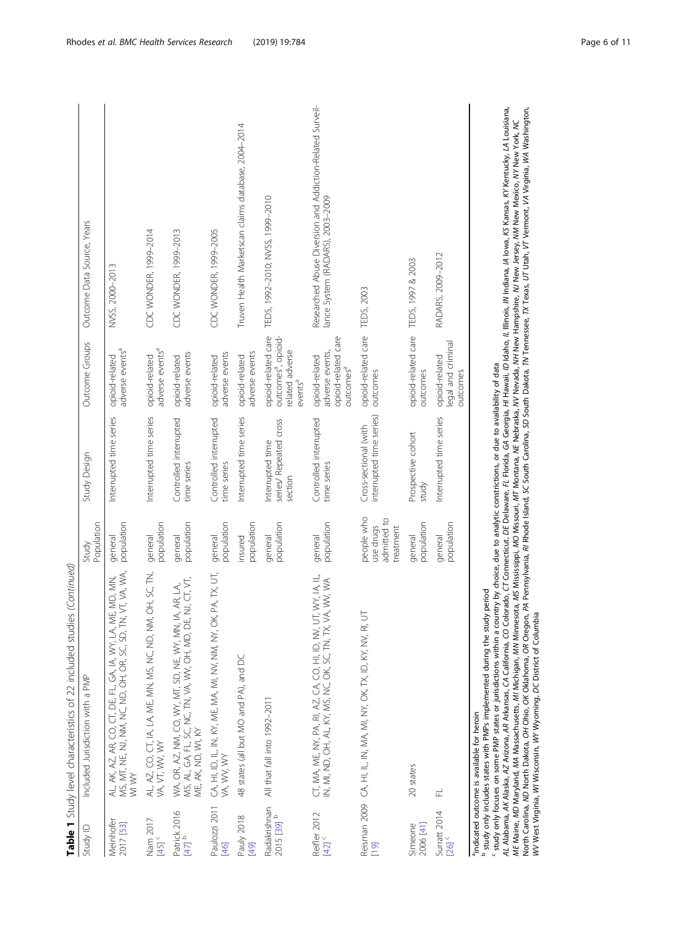|                                   | Table 1 Study level characteristics of 22 included studies (Continued)                                                                                                                                                                                                                                                                                                                                                                                                                                                                                                                                                                                                                                 |                                                     |                                                       |                                                                                                  |                                                                                                                                                            |
|-----------------------------------|--------------------------------------------------------------------------------------------------------------------------------------------------------------------------------------------------------------------------------------------------------------------------------------------------------------------------------------------------------------------------------------------------------------------------------------------------------------------------------------------------------------------------------------------------------------------------------------------------------------------------------------------------------------------------------------------------------|-----------------------------------------------------|-------------------------------------------------------|--------------------------------------------------------------------------------------------------|------------------------------------------------------------------------------------------------------------------------------------------------------------|
| Study ID                          | Included Jurisdiction with a PMP                                                                                                                                                                                                                                                                                                                                                                                                                                                                                                                                                                                                                                                                       | Population<br>Study                                 | Study Design                                          | Outcome Groups                                                                                   | Outcome Data Source, Years                                                                                                                                 |
| Meinhofer<br>2017 [53]            | AL, AK, AZ, AR, CO, CT, DE, FL, GA, IA, WY, LA, ME, MD, MN,<br>MS, MT, NE, NJ, NM, NC, ND, OH, OR, SC, SD, TN, VT, VA, WA,<br>MS, MT, NE, NJ, NM, NC, ND, OH, OR, SC, SD, TN, VT, VA, WA,<br>WI WY                                                                                                                                                                                                                                                                                                                                                                                                                                                                                                     | population<br>general                               | Interrupted time series                               | adverse events <sup>a</sup><br>opioid-related                                                    | NVSS, 2000-2013                                                                                                                                            |
| Nam 2017<br>$45$ ] $\epsilon$     | AL, AZ, CO, CT, IA, LA, ME, MN, MS, NC, ND, NM, OH, SC, TN,<br>VA, VT, WV, WY                                                                                                                                                                                                                                                                                                                                                                                                                                                                                                                                                                                                                          | population<br>general                               | Interrupted time series                               | adverse events <sup>a</sup><br>opioid-related                                                    | CDC WONDER, 1999-2014                                                                                                                                      |
| Patrick 2016<br>[47] <sup>b</sup> | DE, NJ, CT, VT,<br>n, ia, ar, la,<br>WA, OR, AZ, NM, CO, WY, MT, SD, NE, WY, MI<br>MS, AL, GA, FL, SC, NC, TN, VA, WV, OH, MD,<br>ME, AK, ND, WI, KY                                                                                                                                                                                                                                                                                                                                                                                                                                                                                                                                                   | population<br>general                               | Controlled interrupted<br>time series                 | adverse events<br>opioid-related                                                                 | CDC WONDER, 1999-2013                                                                                                                                      |
| Paulozzi 2011<br>[46]             | OK, PA, TX, UT,<br>ca, hi, id, il, in, ky, me, ma, mi, nv, nm, ny, ny,<br>va, wy                                                                                                                                                                                                                                                                                                                                                                                                                                                                                                                                                                                                                       | population<br>general                               | Controlled interrupted<br>time series                 | adverse events<br>opioid-related                                                                 | CDCWONDER, 1999-2005                                                                                                                                       |
| Pauly 2018<br>[6b]                | 48 states (all but MO and PA), and DC                                                                                                                                                                                                                                                                                                                                                                                                                                                                                                                                                                                                                                                                  | population<br>insured                               | Interrupted time series                               | adverse events<br>opioid-related                                                                 | Truven Health Marketscan claims database, 2004-2014                                                                                                        |
| Radakrishnan<br>2015 [39] b       | All that fall into 1992-2011                                                                                                                                                                                                                                                                                                                                                                                                                                                                                                                                                                                                                                                                           | population<br>general                               | series/ Repeated cross<br>Interrupted time<br>section | opioid-related care<br>outcomes <sup>9</sup> , opioid-<br>related adverse<br>events <sup>a</sup> | TEDS, 1992-2010; NVSS, 1999-2010                                                                                                                           |
| Reifler 2012<br>[42]              | CT, MA, ME, NY, PA, RI, AZ, CA, CO, HI, ID, NV, UT, WY, IA, IL,<br>IN, MI, ND, OH, AL, KY, MS, NC, OK, SC, TN, TX, VA, WV, WA                                                                                                                                                                                                                                                                                                                                                                                                                                                                                                                                                                          | population<br>general                               | Controlled interrupted<br>time series                 | opioid-related care<br>adverse events,<br>opioid-related<br>outcomes <sup>a</sup>                | Researched Abuse Diversion and Addiction-Related Surveil-<br>lance System (RADARS), 2003-2009                                                              |
| Reisman 2009<br>[19]              | ca, hi, il, in, ma, mi, ny, ok, tx, id, ky, nv, ri, ut                                                                                                                                                                                                                                                                                                                                                                                                                                                                                                                                                                                                                                                 | people who<br>admitted to<br>use drugs<br>treatment | interrupted time series)<br>Cross-sectional (with     | opioid-related care<br>outcomes                                                                  | TEDS, 2003                                                                                                                                                 |
| 2006 [41]<br>Simeone              | 20 states                                                                                                                                                                                                                                                                                                                                                                                                                                                                                                                                                                                                                                                                                              | population<br>general                               | Prospective cohort<br>study                           | opioid-related care<br>outcomes                                                                  | TEDS, 1997 & 2003                                                                                                                                          |
| Surratt 2014<br>261               | 군                                                                                                                                                                                                                                                                                                                                                                                                                                                                                                                                                                                                                                                                                                      | population<br>general                               | Interrupted time series                               | legal and criminal<br>opioid-related<br>outcomes                                                 | RADARS, 2009-2012                                                                                                                                          |
|                                   | <i>ME</i> Maine, <i>MD Mary</i> land, <i>MA Massachusetts, MI Michigan, MN Winnesota, MS Misissippi, MO Missouri, MT Montana, NE Nebraska, NV New Hampshire, WJ New Jersey, MM New Mexico, NY New York, NC<br/>North Carolina, ND North Dakota,</i><br>study only focuses on some PMP states or jurisdictions within a country by choice, due to analytic constrictions, or due to availability of data<br><sup>b</sup> study only includes states with PMPs implemented during the study period<br>WV West Virginia, W/ Wisconsin, WY Wyoming, DC District of Columbia<br>AL Alabama, AK Alaska, AZ Arizona, AR Arkansas, CA California, CO<br><sup>a</sup> indicated outcome is available for heroin |                                                     |                                                       |                                                                                                  | Colorado, CT Connecticut, DE Delaware, FL Florida, GA Georgia, HI Hawaii, ID Idaho, IL Illinois, M Indiana, IA Iowa, KS Kansas, KY Kentucky, LA Louisiana, |

Rhodes et al. BMC Health Services Research (2019) 19:784 Page 6 of 11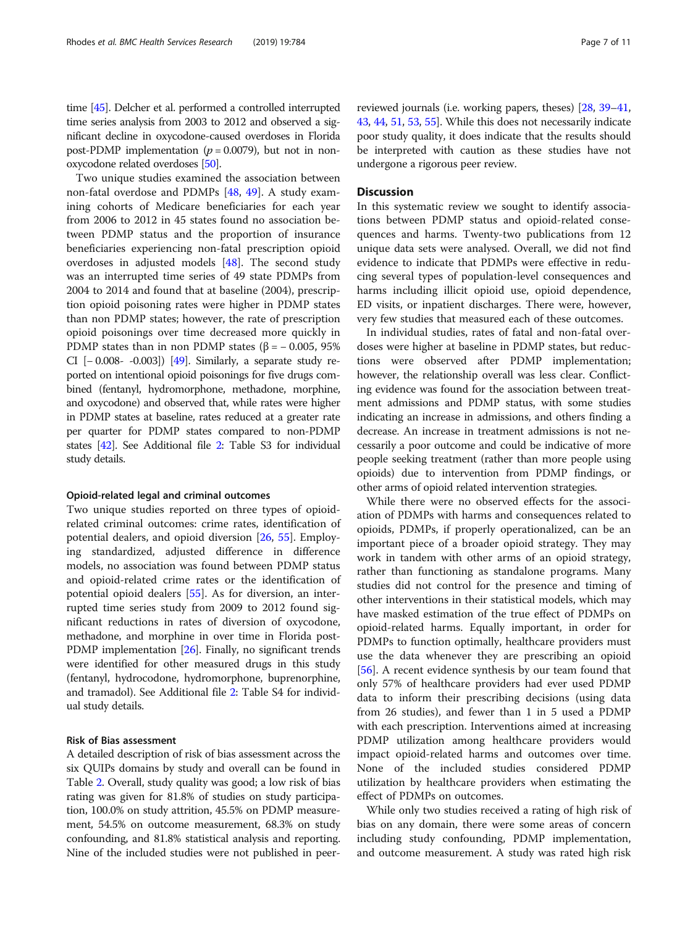time [\[45\]](#page-9-0). Delcher et al. performed a controlled interrupted time series analysis from 2003 to 2012 and observed a significant decline in oxycodone-caused overdoses in Florida post-PDMP implementation ( $p = 0.0079$ ), but not in nonoxycodone related overdoses [[50](#page-9-0)].

Two unique studies examined the association between non-fatal overdose and PDMPs [\[48,](#page-9-0) [49\]](#page-9-0). A study examining cohorts of Medicare beneficiaries for each year from 2006 to 2012 in 45 states found no association between PDMP status and the proportion of insurance beneficiaries experiencing non-fatal prescription opioid overdoses in adjusted models [[48\]](#page-9-0). The second study was an interrupted time series of 49 state PDMPs from 2004 to 2014 and found that at baseline (2004), prescription opioid poisoning rates were higher in PDMP states than non PDMP states; however, the rate of prescription opioid poisonings over time decreased more quickly in PDMP states than in non PDMP states ( $\beta$  = -0.005, 95%) CI [− 0.008- -0.003]) [\[49\]](#page-9-0). Similarly, a separate study reported on intentional opioid poisonings for five drugs combined (fentanyl, hydromorphone, methadone, morphine, and oxycodone) and observed that, while rates were higher in PDMP states at baseline, rates reduced at a greater rate per quarter for PDMP states compared to non-PDMP states [[42](#page-9-0)]. See Additional file [2](#page-8-0): Table S3 for individual study details.

#### Opioid-related legal and criminal outcomes

Two unique studies reported on three types of opioidrelated criminal outcomes: crime rates, identification of potential dealers, and opioid diversion [[26,](#page-9-0) [55](#page-10-0)]. Employing standardized, adjusted difference in difference models, no association was found between PDMP status and opioid-related crime rates or the identification of potential opioid dealers [[55](#page-10-0)]. As for diversion, an interrupted time series study from 2009 to 2012 found significant reductions in rates of diversion of oxycodone, methadone, and morphine in over time in Florida post-PDMP implementation [\[26\]](#page-9-0). Finally, no significant trends were identified for other measured drugs in this study (fentanyl, hydrocodone, hydromorphone, buprenorphine, and tramadol). See Additional file [2](#page-8-0): Table S4 for individual study details.

## Risk of Bias assessment

A detailed description of risk of bias assessment across the six QUIPs domains by study and overall can be found in Table [2.](#page-7-0) Overall, study quality was good; a low risk of bias rating was given for 81.8% of studies on study participation, 100.0% on study attrition, 45.5% on PDMP measurement, 54.5% on outcome measurement, 68.3% on study confounding, and 81.8% statistical analysis and reporting. Nine of the included studies were not published in peer-

#### **Discussion**

undergone a rigorous peer review.

In this systematic review we sought to identify associations between PDMP status and opioid-related consequences and harms. Twenty-two publications from 12 unique data sets were analysed. Overall, we did not find evidence to indicate that PDMPs were effective in reducing several types of population-level consequences and harms including illicit opioid use, opioid dependence, ED visits, or inpatient discharges. There were, however, very few studies that measured each of these outcomes.

In individual studies, rates of fatal and non-fatal overdoses were higher at baseline in PDMP states, but reductions were observed after PDMP implementation; however, the relationship overall was less clear. Conflicting evidence was found for the association between treatment admissions and PDMP status, with some studies indicating an increase in admissions, and others finding a decrease. An increase in treatment admissions is not necessarily a poor outcome and could be indicative of more people seeking treatment (rather than more people using opioids) due to intervention from PDMP findings, or other arms of opioid related intervention strategies.

While there were no observed effects for the association of PDMPs with harms and consequences related to opioids, PDMPs, if properly operationalized, can be an important piece of a broader opioid strategy. They may work in tandem with other arms of an opioid strategy, rather than functioning as standalone programs. Many studies did not control for the presence and timing of other interventions in their statistical models, which may have masked estimation of the true effect of PDMPs on opioid-related harms. Equally important, in order for PDMPs to function optimally, healthcare providers must use the data whenever they are prescribing an opioid [[56\]](#page-10-0). A recent evidence synthesis by our team found that only 57% of healthcare providers had ever used PDMP data to inform their prescribing decisions (using data from 26 studies), and fewer than 1 in 5 used a PDMP with each prescription. Interventions aimed at increasing PDMP utilization among healthcare providers would impact opioid-related harms and outcomes over time. None of the included studies considered PDMP utilization by healthcare providers when estimating the effect of PDMPs on outcomes.

While only two studies received a rating of high risk of bias on any domain, there were some areas of concern including study confounding, PDMP implementation, and outcome measurement. A study was rated high risk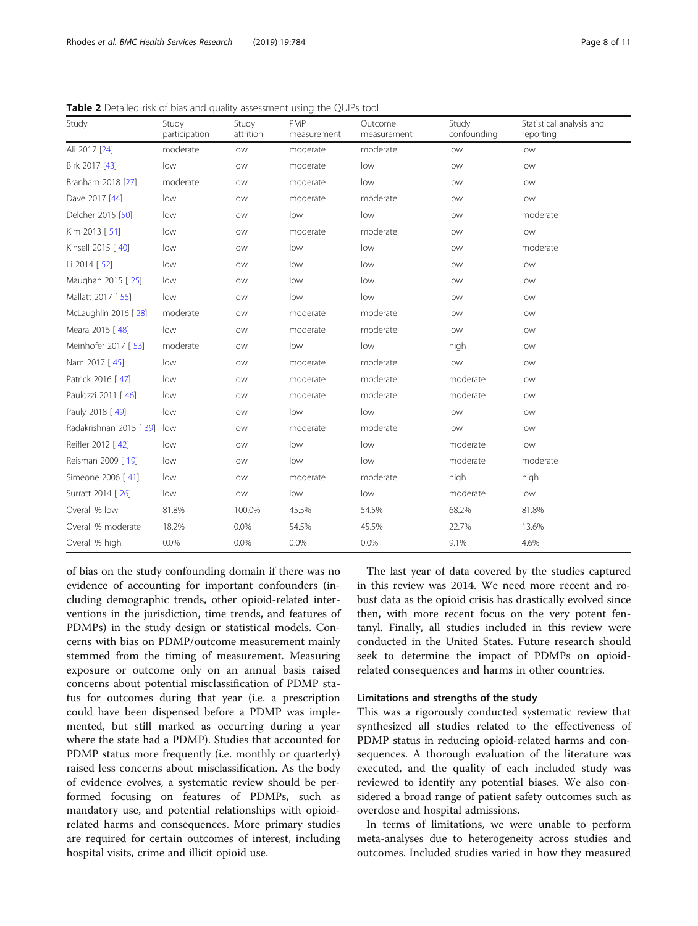<span id="page-7-0"></span>Table 2 Detailed risk of bias and quality assessment using the QUIPs tool

| Study                  | Study<br>participation | Study<br>attrition | PMP<br>measurement | Outcome<br>measurement | Study<br>confounding | Statistical analysis and<br>reporting |
|------------------------|------------------------|--------------------|--------------------|------------------------|----------------------|---------------------------------------|
| Ali 2017 [24]          | moderate               | low                | moderate           | moderate               | low                  | low                                   |
| Birk 2017 [43]         | low                    | low                | moderate           | low                    | low                  | low                                   |
| Branham 2018 [27]      | moderate               | low                | moderate           | low                    | low                  | low                                   |
| Dave 2017 [44]         | low                    | low                | moderate           | moderate               | low                  | low                                   |
| Delcher 2015 [50]      | low                    | low                | low                | low                    | low                  | moderate                              |
| Kim 2013 [51]          | low                    | low                | moderate           | moderate               | low                  | low                                   |
| Kinsell 2015 [40]      | low                    | low                | low                | low                    | low                  | moderate                              |
| Li 2014 [52]           | low                    | low                | low                | low                    | low                  | low                                   |
| Maughan 2015 [25]      | low                    | low                | low                | low                    | low                  | low                                   |
| Mallatt 2017 [55]      | low                    | low                | low                | low                    | low                  | low                                   |
| McLaughlin 2016 [28]   | moderate               | low                | moderate           | moderate               | low                  | low                                   |
| Meara 2016 [48]        | low                    | low                | moderate           | moderate               | low                  | low                                   |
| Meinhofer 2017 [ 53]   | moderate               | low                | low                | low                    | high                 | low                                   |
| Nam 2017 [45]          | low                    | low                | moderate           | moderate               | low                  | low                                   |
| Patrick 2016 [ 47]     | low                    | low                | moderate           | moderate               | moderate             | low                                   |
| Paulozzi 2011 [46]     | low                    | low                | moderate           | moderate               | moderate             | low                                   |
| Pauly 2018 [49]        | low                    | low                | low                | low                    | low                  | low                                   |
| Radakrishnan 2015 [39] | low                    | low                | moderate           | moderate               | low                  | low                                   |
| Reifler 2012 [42]      | low                    | low                | low                | low                    | moderate             | low                                   |
| Reisman 2009 [19]      | low                    | low                | low                | low                    | moderate             | moderate                              |
| Simeone 2006 [ 41]     | low                    | low                | moderate           | moderate               | high                 | high                                  |
| Surratt 2014 [ 26]     | low                    | low                | low                | low                    | moderate             | low                                   |
| Overall % low          | 81.8%                  | 100.0%             | 45.5%              | 54.5%                  | 68.2%                | 81.8%                                 |
| Overall % moderate     | 18.2%                  | 0.0%               | 54.5%              | 45.5%                  | 22.7%                | 13.6%                                 |
| Overall % high         | 0.0%                   | 0.0%               | 0.0%               | 0.0%                   | 9.1%                 | 4.6%                                  |

of bias on the study confounding domain if there was no evidence of accounting for important confounders (including demographic trends, other opioid-related interventions in the jurisdiction, time trends, and features of PDMPs) in the study design or statistical models. Concerns with bias on PDMP/outcome measurement mainly stemmed from the timing of measurement. Measuring exposure or outcome only on an annual basis raised concerns about potential misclassification of PDMP status for outcomes during that year (i.e. a prescription could have been dispensed before a PDMP was implemented, but still marked as occurring during a year where the state had a PDMP). Studies that accounted for PDMP status more frequently (i.e. monthly or quarterly) raised less concerns about misclassification. As the body of evidence evolves, a systematic review should be performed focusing on features of PDMPs, such as mandatory use, and potential relationships with opioidrelated harms and consequences. More primary studies are required for certain outcomes of interest, including hospital visits, crime and illicit opioid use.

The last year of data covered by the studies captured in this review was 2014. We need more recent and robust data as the opioid crisis has drastically evolved since then, with more recent focus on the very potent fentanyl. Finally, all studies included in this review were conducted in the United States. Future research should seek to determine the impact of PDMPs on opioidrelated consequences and harms in other countries.

#### Limitations and strengths of the study

This was a rigorously conducted systematic review that synthesized all studies related to the effectiveness of PDMP status in reducing opioid-related harms and consequences. A thorough evaluation of the literature was executed, and the quality of each included study was reviewed to identify any potential biases. We also considered a broad range of patient safety outcomes such as overdose and hospital admissions.

In terms of limitations, we were unable to perform meta-analyses due to heterogeneity across studies and outcomes. Included studies varied in how they measured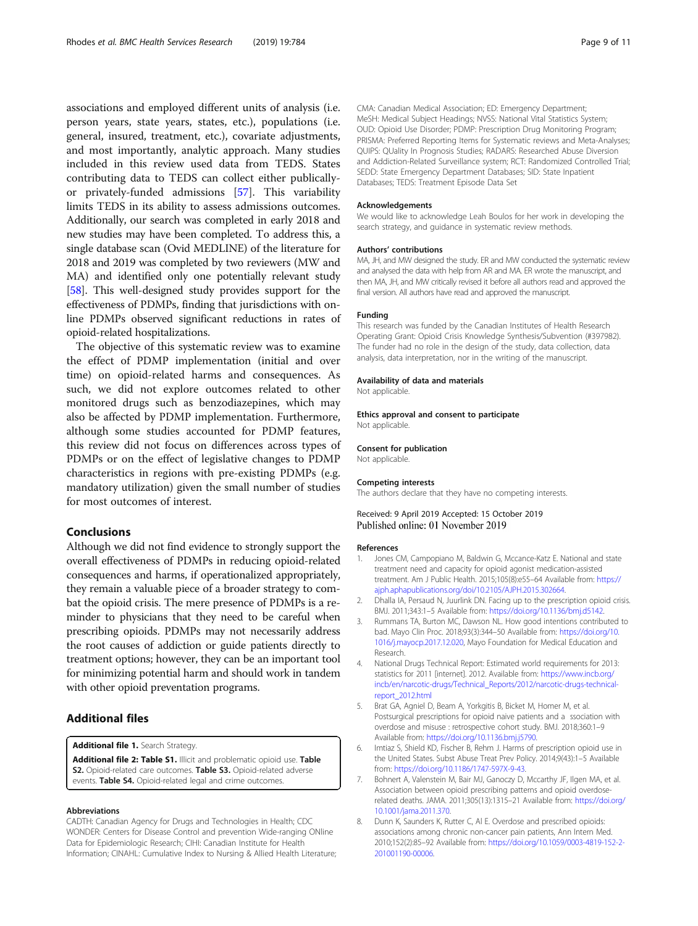<span id="page-8-0"></span>associations and employed different units of analysis (i.e. person years, state years, states, etc.), populations (i.e. general, insured, treatment, etc.), covariate adjustments, and most importantly, analytic approach. Many studies included in this review used data from TEDS. States contributing data to TEDS can collect either publicallyor privately-funded admissions [[57](#page-10-0)]. This variability limits TEDS in its ability to assess admissions outcomes. Additionally, our search was completed in early 2018 and new studies may have been completed. To address this, a single database scan (Ovid MEDLINE) of the literature for 2018 and 2019 was completed by two reviewers (MW and MA) and identified only one potentially relevant study [[58](#page-10-0)]. This well-designed study provides support for the effectiveness of PDMPs, finding that jurisdictions with online PDMPs observed significant reductions in rates of opioid-related hospitalizations.

The objective of this systematic review was to examine the effect of PDMP implementation (initial and over time) on opioid-related harms and consequences. As such, we did not explore outcomes related to other monitored drugs such as benzodiazepines, which may also be affected by PDMP implementation. Furthermore, although some studies accounted for PDMP features, this review did not focus on differences across types of PDMPs or on the effect of legislative changes to PDMP characteristics in regions with pre-existing PDMPs (e.g. mandatory utilization) given the small number of studies for most outcomes of interest.

## Conclusions

Although we did not find evidence to strongly support the overall effectiveness of PDMPs in reducing opioid-related consequences and harms, if operationalized appropriately, they remain a valuable piece of a broader strategy to combat the opioid crisis. The mere presence of PDMPs is a reminder to physicians that they need to be careful when prescribing opioids. PDMPs may not necessarily address the root causes of addiction or guide patients directly to treatment options; however, they can be an important tool for minimizing potential harm and should work in tandem with other opioid preventation programs.

## Additional files

Additional file 1. Search Strategy

Additional file 2: Table S1. Illicit and problematic opioid use. Table S2. Opioid-related care outcomes. Table S3. Opioid-related adverse events. Table S4. Opioid-related legal and crime outcomes.

#### Abbreviations

CADTH: Canadian Agency for Drugs and Technologies in Health; CDC WONDER: Centers for Disease Control and prevention Wide-ranging ONline Data for Epidemiologic Research; CIHI: Canadian Institute for Health Information; CINAHL: Cumulative Index to Nursing & Allied Health Literature; CMA: Canadian Medical Association; ED: Emergency Department; MeSH: Medical Subject Headings; NVSS: National Vital Statistics System; OUD: Opioid Use Disorder; PDMP: Prescription Drug Monitoring Program; PRISMA: Preferred Reporting Items for Systematic reviews and Meta-Analyses; QUIPS: QUality In Prognosis Studies; RADARS: Researched Abuse Diversion and Addiction-Related Surveillance system; RCT: Randomized Controlled Trial; SEDD: State Emergency Department Databases; SID: State Inpatient Databases; TEDS: Treatment Episode Data Set

#### Acknowledgements

We would like to acknowledge Leah Boulos for her work in developing the search strategy, and guidance in systematic review methods.

#### Authors' contributions

MA, JH, and MW designed the study. ER and MW conducted the systematic review and analysed the data with help from AR and MA. ER wrote the manuscript, and then MA, JH, and MW critically revised it before all authors read and approved the final version. All authors have read and approved the manuscript.

#### Funding

This research was funded by the Canadian Institutes of Health Research Operating Grant: Opioid Crisis Knowledge Synthesis/Subvention (#397982). The funder had no role in the design of the study, data collection, data analysis, data interpretation, nor in the writing of the manuscript.

#### Availability of data and materials

Not applicable.

Ethics approval and consent to participate Not applicable.

#### Consent for publication

Not applicable.

#### Competing interests

The authors declare that they have no competing interests.

Received: 9 April 2019 Accepted: 15 October 2019 Published online: 01 November 2019

#### References

- 1. Jones CM, Campopiano M, Baldwin G, Mccance-Katz E. National and state treatment need and capacity for opioid agonist medication-assisted treatment. Am J Public Health. 2015;105(8):e55–64 Available from: [https://](https://ajph.aphapublications.org/doi/10.2105/AJPH.2015.302664) [ajph.aphapublications.org/doi/10.2105/AJPH.2015.302664.](https://ajph.aphapublications.org/doi/10.2105/AJPH.2015.302664)
- 2. Dhalla IA, Persaud N, Juurlink DN. Facing up to the prescription opioid crisis. BMJ. 2011;343:1–5 Available from: [https://doi.org/10.1136/bmj.d5142.](https://doi.org/10.1136/bmj.d5142)
- 3. Rummans TA, Burton MC, Dawson NL. How good intentions contributed to bad. Mayo Clin Proc. 2018;93(3):344–50 Available from: [https://doi.org/10.](https://doi.org/10.1016/j.mayocp.2017.12.020) [1016/j.mayocp.2017.12.020,](https://doi.org/10.1016/j.mayocp.2017.12.020) Mayo Foundation for Medical Education and Research.
- 4. National Drugs Technical Report: Estimated world requirements for 2013: statistics for 2011 [internet]. 2012. Available from: [https://www.incb.org/](https://www.incb.org/incb/en/narcotic-drugs/Technical_Reports/2012/narcotic-drugs-technical-report_2012.html) [incb/en/narcotic-drugs/Technical\\_Reports/2012/narcotic-drugs-technical](https://www.incb.org/incb/en/narcotic-drugs/Technical_Reports/2012/narcotic-drugs-technical-report_2012.html)[report\\_2012.html](https://www.incb.org/incb/en/narcotic-drugs/Technical_Reports/2012/narcotic-drugs-technical-report_2012.html)
- 5. Brat GA, Agniel D, Beam A, Yorkgitis B, Bicket M, Homer M, et al. Postsurgical prescriptions for opioid naive patients and a ssociation with overdose and misuse : retrospective cohort study. BMJ. 2018;360:1–9 Available from: [https://doi.org/10.1136.bmj.j5790.](https://doi.org/10.1136.bmj.j5790)
- 6. Imtiaz S, Shield KD, Fischer B, Rehm J. Harms of prescription opioid use in the United States. Subst Abuse Treat Prev Policy. 2014;9(43):1–5 Available from: [https://doi.org/10.1186/1747-597X-9-43.](https://doi.org/10.1186/1747-597X-9-43)
- 7. Bohnert A, Valenstein M, Bair MJ, Ganoczy D, Mccarthy JF, Ilgen MA, et al. Association between opioid prescribing patterns and opioid overdoserelated deaths. JAMA. 2011;305(13):1315–21 Available from: [https://doi.org/](https://doi.org/10.1001/jama.2011.370) [10.1001/jama.2011.370.](https://doi.org/10.1001/jama.2011.370)
- 8. Dunn K, Saunders K, Rutter C, Al E. Overdose and prescribed opioids: associations among chronic non-cancer pain patients, Ann Intern Med. 2010;152(2):85–92 Available from: [https://doi.org/10.1059/0003-4819-152-2-](https://doi.org/10.1059/0003-4819-152-2-201001190-00006) [201001190-00006.](https://doi.org/10.1059/0003-4819-152-2-201001190-00006)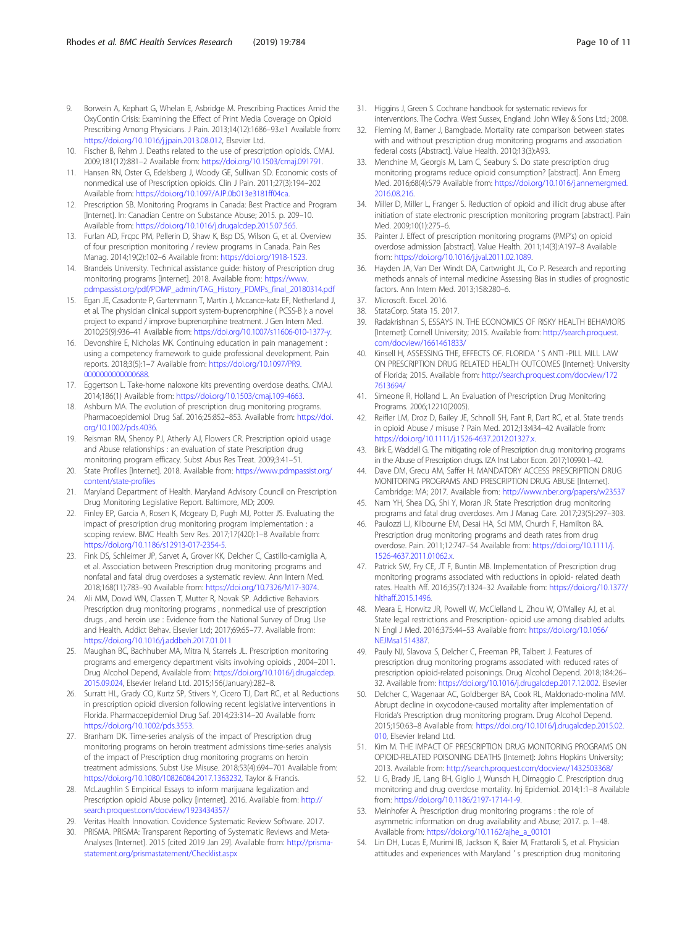- <span id="page-9-0"></span>9. Borwein A, Kephart G, Whelan E, Asbridge M. Prescribing Practices Amid the OxyContin Crisis: Examining the Effect of Print Media Coverage on Opioid Prescribing Among Physicians. J Pain. 2013;14(12):1686–93.e1 Available from: [https://doi.org/10.1016/j.jpain.2013.08.012,](https://doi.org/10.1016/j.jpain.2013.08.012) Elsevier Ltd.
- 10. Fischer B, Rehm J. Deaths related to the use of prescription opioids. CMAJ. 2009;181(12):881–2 Available from: [https://doi.org/10.1503/cmaj.091791.](https://doi.org/10.1503/cmaj.091791)
- 11. Hansen RN, Oster G, Edelsberg J, Woody GE, Sullivan SD. Economic costs of nonmedical use of Prescription opioids. Clin J Pain. 2011;27(3):194–202 Available from: <https://doi.org/10.1097/AJP.0b013e3181ff04ca>.
- 12. Prescription SB. Monitoring Programs in Canada: Best Practice and Program [Internet]. In: Canadian Centre on Substance Abuse; 2015. p. 209–10. Available from: [https://doi.org/10.1016/j.drugalcdep.2015.07.565.](https://doi.org/10.1016/j.drugalcdep.2015.07.565)
- 13. Furlan AD, Frcpc PM, Pellerin D, Shaw K, Bsp DS, Wilson G, et al. Overview of four prescription monitoring / review programs in Canada. Pain Res Manag. 2014;19(2):102–6 Available from: [https://doi.org/1918-1523.](https://doi.org/1918-1523)
- 14. Brandeis University. Technical assistance guide: history of Prescription drug monitoring programs [internet]. 2018. Available from: [https://www.](https://www.pdmpassist.org/pdf/PDMP_admin/TAG_History_PDMPs_final_20180314.pdf) [pdmpassist.org/pdf/PDMP\\_admin/TAG\\_History\\_PDMPs\\_final\\_20180314.pdf](https://www.pdmpassist.org/pdf/PDMP_admin/TAG_History_PDMPs_final_20180314.pdf)
- 15. Egan JE, Casadonte P, Gartenmann T, Martin J, Mccance-katz EF, Netherland J, et al. The physician clinical support system-buprenorphine ( PCSS-B ): a novel project to expand / improve buprenorphine treatment. J Gen Intern Med. 2010;25(9):936–41 Available from: [https://doi.org/10.1007/s11606-010-1377-y.](https://doi.org/10.1007/s11606-010-1377-y)
- 16. Devonshire E, Nicholas MK. Continuing education in pain management : using a competency framework to guide professional development. Pain reports. 2018;3(5):1–7 Available from: [https://doi.org/10.1097/PR9.](https://doi.org/10.1097/PR9.0000000000000688) [0000000000000688](https://doi.org/10.1097/PR9.0000000000000688).
- 17. Eggertson L. Take-home naloxone kits preventing overdose deaths. CMAJ. 2014;186(1) Available from: <https://doi.org/10.1503/cmaj.109-4663>.
- 18. Ashburn MA. The evolution of prescription drug monitoring programs. Pharmacoepidemiol Drug Saf. 2016;25:852–853. Available from: [https://doi.](https://doi.org/10.1002/pds.4036) [org/10.1002/pds.4036](https://doi.org/10.1002/pds.4036).
- 19. Reisman RM, Shenoy PJ, Atherly AJ, Flowers CR. Prescription opioid usage and Abuse relationships : an evaluation of state Prescription drug monitoring program efficacy. Subst Abus Res Treat. 2009;3:41–51.
- 20. State Profiles [Internet]. 2018. Available from: [https://www.pdmpassist.org/](https://www.pdmpassist.org/content/state-profiles) [content/state-profiles](https://www.pdmpassist.org/content/state-profiles)
- 21. Maryland Department of Health. Maryland Advisory Council on Prescription Drug Monitoring Legislative Report. Baltimore, MD; 2009.
- 22. Finley EP, Garcia A, Rosen K, Mcgeary D, Pugh MJ, Potter JS. Evaluating the impact of prescription drug monitoring program implementation : a scoping review. BMC Health Serv Res. 2017;17(420):1–8 Available from: <https://doi.org/10.1186/s12913-017-2354-5>.
- 23. Fink DS, Schleimer JP, Sarvet A, Grover KK, Delcher C, Castillo-carniglia A, et al. Association between Prescription drug monitoring programs and nonfatal and fatal drug overdoses a systematic review. Ann Intern Med. 2018;168(11):783–90 Available from: [https://doi.org/10.7326/M17-3074.](https://doi.org/10.7326/M17-3074)
- 24. Ali MM, Dowd WN, Classen T, Mutter R, Novak SP. Addictive Behaviors Prescription drug monitoring programs , nonmedical use of prescription drugs , and heroin use : Evidence from the National Survey of Drug Use and Health. Addict Behav. Elsevier Ltd; 2017;69:65–77. Available from: <https://doi.org/10.1016/j.addbeh.2017.01.011>
- 25. Maughan BC, Bachhuber MA, Mitra N, Starrels JL. Prescription monitoring programs and emergency department visits involving opioids , 2004–2011. Drug Alcohol Depend, Available from: [https://doi.org/10.1016/j.drugalcdep.](https://doi.org/10.1016/j.drugalcdep.2015.09.024) [2015.09.024,](https://doi.org/10.1016/j.drugalcdep.2015.09.024) Elsevier Ireland Ltd. 2015;156(January):282–8.
- 26. Surratt HL, Grady CO, Kurtz SP, Stivers Y, Cicero TJ, Dart RC, et al. Reductions in prescription opioid diversion following recent legislative interventions in Florida. Pharmacoepidemiol Drug Saf. 2014;23:314–20 Available from: <https://doi.org/10.1002/pds.3553>.
- 27. Branham DK. Time-series analysis of the impact of Prescription drug monitoring programs on heroin treatment admissions time-series analysis of the impact of Prescription drug monitoring programs on heroin treatment admissions. Subst Use Misuse. 2018;53(4):694–701 Available from: <https://doi.org/10.1080/10826084.2017.1363232>, Taylor & Francis.
- 28. McLaughlin S Empirical Essays to inform marijuana legalization and Prescription opioid Abuse policy [internet]. 2016. Available from: [http://](http://search.proquest.com/docview/1923434357/) [search.proquest.com/docview/1923434357/](http://search.proquest.com/docview/1923434357/)
- 29. Veritas Health Innovation. Covidence Systematic Review Software. 2017.
- 30. PRISMA. PRISMA: Transparent Reporting of Systematic Reviews and Meta-Analyses [Internet]. 2015 [cited 2019 Jan 29]. Available from: [http://prisma](http://prisma-statement.org/prismastatement/Checklist.aspx)[statement.org/prismastatement/Checklist.aspx](http://prisma-statement.org/prismastatement/Checklist.aspx)
- 31. Higgins J, Green S. Cochrane handbook for systematic reviews for interventions. The Cochra. West Sussex, England: John Wiley & Sons Ltd.; 2008.
- 32. Fleming M, Barner J, Bamgbade. Mortality rate comparison between states with and without prescription drug monitoring programs and association federal costs [Abstract]. Value Health. 2010;13(3):A93.
- 33. Menchine M, Georgis M, Lam C, Seabury S. Do state prescription drug monitoring programs reduce opioid consumption? [abstract]. Ann Emerg Med. 2016;68(4):S79 Available from: [https://doi.org/10.1016/j.annemergmed.](https://doi.org/10.1016/j.annemergmed.2016.08.216) [2016.08.216.](https://doi.org/10.1016/j.annemergmed.2016.08.216)
- 34. Miller D, Miller L, Franger S. Reduction of opioid and illicit drug abuse after initiation of state electronic prescription monitoring program [abstract]. Pain Med. 2009;10(1):275–6.
- 35. Painter J. Effect of prescription monitoring programs (PMP's) on opioid overdose admission [abstract]. Value Health. 2011;14(3):A197–8 Available from: <https://doi.org/10.1016/j.jval.2011.02.1089>.
- 36. Hayden JA, Van Der Windt DA, Cartwright JL, Co P. Research and reporting methods annals of internal medicine Assessing Bias in studies of prognostic factors. Ann Intern Med. 2013;158:280–6.
- 37. Microsoft. Excel. 2016.
- 38. StataCorp. Stata 15. 2017.
- 39. Radakrishnan S, ESSAYS IN. THE ECONOMICS OF RISKY HEALTH BEHAVIORS [Internet]: Cornell University; 2015. Available from: [http://search.proquest.](http://search.proquest.com/docview/1661461833/) [com/docview/1661461833/](http://search.proquest.com/docview/1661461833/)
- 40. Kinsell H, ASSESSING THE, EFFECTS OF. FLORIDA ' S ANTI -PILL MILL LAW ON PRESCRIPTION DRUG RELATED HEALTH OUTCOMES [Internet]: University of Florida; 2015. Available from: [http://search.proquest.com/docview/172](http://search.proquest.com/docview/1727613694/) [7613694/](http://search.proquest.com/docview/1727613694/)
- 41. Simeone R, Holland L. An Evaluation of Prescription Drug Monitoring Programs. 2006;12210(2005).
- 42. Reifler LM, Droz D, Bailey JE, Schnoll SH, Fant R, Dart RC, et al. State trends in opioid Abuse / misuse ? Pain Med. 2012;13:434–42 Available from: <https://doi.org/10.1111/j.1526-4637.2012.01327.x>.
- 43. Birk E, Waddell G. The mitigating role of Prescription drug monitoring programs in the Abuse of Prescription drugs. IZA Inst Labor Econ. 2017;10990:1–42.
- 44. Dave DM, Grecu AM, Saffer H. MANDATORY ACCESS PRESCRIPTION DRUG MONITORING PROGRAMS AND PRESCRIPTION DRUG ABUSE [Internet]. Cambridge: MA; 2017. Available from: <http://www.nber.org/papers/w23537>
- 45. Nam YH, Shea DG, Shi Y, Moran JR. State Prescription drug monitoring programs and fatal drug overdoses. Am J Manag Care. 2017;23(5):297–303.
- 46. Paulozzi LJ, Kilbourne EM, Desai HA, Sci MM, Church F, Hamilton BA. Prescription drug monitoring programs and death rates from drug overdose. Pain. 2011;12:747–54 Available from: [https://doi.org/10.1111/j.](https://doi.org/10.1111/j.1526-4637.2011.01062.x) [1526-4637.2011.01062.x](https://doi.org/10.1111/j.1526-4637.2011.01062.x).
- 47. Patrick SW, Fry CE, JT F, Buntin MB. Implementation of Prescription drug monitoring programs associated with reductions in opioid- related death rates. Health Aff. 2016;35(7):1324–32 Available from: [https://doi.org/10.1377/](https://doi.org/10.1377/hlthaff.2015.1496) [hlthaff.2015.1496](https://doi.org/10.1377/hlthaff.2015.1496).
- 48. Meara E, Horwitz JR, Powell W, McClelland L, Zhou W, O'Malley AJ, et al. State legal restrictions and Prescription- opioid use among disabled adults. N Engl J Med. 2016;375:44–53 Available from: [https://doi.org/10.1056/](https://doi.org/10.1056/NEJMsa1514387) [NEJMsa1514387](https://doi.org/10.1056/NEJMsa1514387).
- 49. Pauly NJ, Slavova S, Delcher C, Freeman PR, Talbert J. Features of prescription drug monitoring programs associated with reduced rates of prescription opioid-related poisonings. Drug Alcohol Depend. 2018;184:26– 32. Available from: [https://doi.org/10.1016/j.drugalcdep.2017.12.002.](https://doi.org/10.1016/j.drugalcdep.2017.12.002) Elsevier
- 50. Delcher C, Wagenaar AC, Goldberger BA, Cook RL, Maldonado-molina MM. Abrupt decline in oxycodone-caused mortality after implementation of Florida's Prescription drug monitoring program. Drug Alcohol Depend. 2015;150:63–8 Available from: [https://doi.org/10.1016/j.drugalcdep.2015.02.](https://doi.org/10.1016/j.drugalcdep.2015.02.010) [010,](https://doi.org/10.1016/j.drugalcdep.2015.02.010) Elsevier Ireland Ltd.
- 51. Kim M. THE IMPACT OF PRESCRIPTION DRUG MONITORING PROGRAMS ON OPIOID-RELATED POISONING DEATHS [Internet]: Johns Hopkins University; 2013. Available from: <http://search.proquest.com/docview/1432503368/>
- 52. Li G, Brady JE, Lang BH, Giglio J, Wunsch H, Dimaggio C. Prescription drug monitoring and drug overdose mortality. Inj Epidemiol. 2014;1:1–8 Available from: <https://doi.org/10.1186/2197-1714-1-9>.
- 53. Meinhofer A. Prescription drug monitoring programs : the role of asymmetric information on drug availability and Abuse; 2017. p. 1–48. Available from: [https://doi.org/10.1162/ajhe\\_a\\_00101](https://doi.org/10.1162/ajhe_a_00101)
- 54. Lin DH, Lucas E, Murimi IB, Jackson K, Baier M, Frattaroli S, et al. Physician attitudes and experiences with Maryland ' s prescription drug monitoring